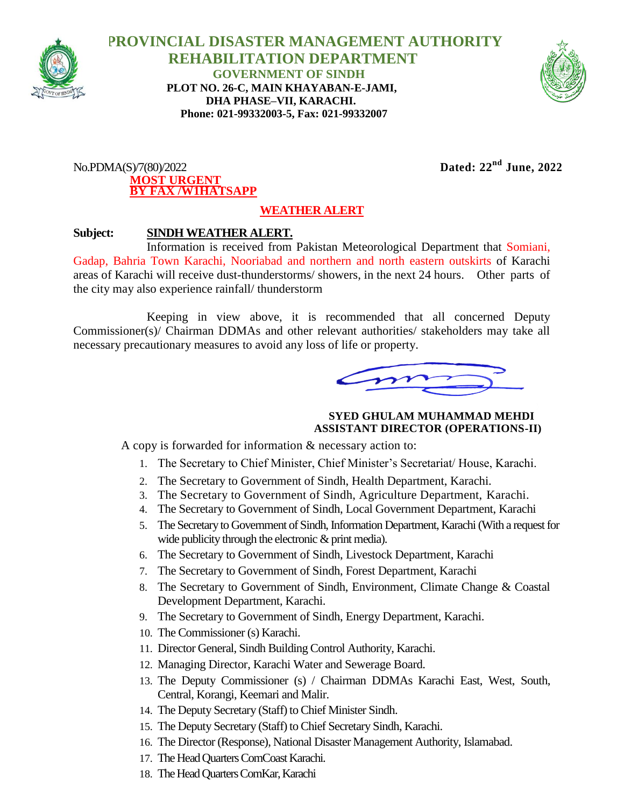

 **PROVINCIAL DISASTER MANAGEMENT AUTHORITY REHABILITATION DEPARTMENT GOVERNMENT OF SINDH PLOT NO. 26-C, MAIN KHAYABAN-E-JAMI, DHA PHASE–VII, KARACHI. Phone: 021-99332003-5, Fax: 021-99332007**



No.PDMA(S)/7(80)/2022 **Dated: 22nd June, 2022 MOST URGENT BY FAX /W1HATSAPP**

## **WEATHER ALERT**

## **Subject: SINDH WEATHER ALERT.**

Information is received from Pakistan Meteorological Department that Somiani, Gadap, Bahria Town Karachi, Nooriabad and northern and north eastern outskirts of Karachi areas of Karachi will receive dust-thunderstorms/ showers, in the next 24 hours. Other parts of the city may also experience rainfall/ thunderstorm

Keeping in view above, it is recommended that all concerned Deputy Commissioner(s)/ Chairman DDMAs and other relevant authorities/ stakeholders may take all necessary precautionary measures to avoid any loss of life or property.

 **SYED GHULAM MUHAMMAD MEHDI ASSISTANT DIRECTOR (OPERATIONS-II)**

A copy is forwarded for information & necessary action to:

- 1. The Secretary to Chief Minister, Chief Minister's Secretariat/ House, Karachi.
- 2. The Secretary to Government of Sindh, Health Department, Karachi.
- 3. The Secretary to Government of Sindh, Agriculture Department, Karachi.
- 4. The Secretary to Government of Sindh, Local Government Department, Karachi
- 5. The Secretary to Government of Sindh, Information Department, Karachi (With a request for wide publicity through the electronic  $\&$  print media).
- 6. The Secretary to Government of Sindh, Livestock Department, Karachi
- 7. The Secretary to Government of Sindh, Forest Department, Karachi
- 8. The Secretary to Government of Sindh, Environment, Climate Change & Coastal Development Department, Karachi.
- 9. The Secretary to Government of Sindh, Energy Department, Karachi.
- 10. The Commissioner (s) Karachi.
- 11. Director General, Sindh Building Control Authority, Karachi.
- 12. Managing Director, Karachi Water and Sewerage Board.
- 13. The Deputy Commissioner (s) / Chairman DDMAs Karachi East, West, South, Central, Korangi, Keemari and Malir.
- 14. The Deputy Secretary (Staff) to Chief Minister Sindh.
- 15. The Deputy Secretary (Staff) to Chief Secretary Sindh, Karachi.
- 16. The Director (Response), National Disaster Management Authority, Islamabad.
- 17. The Head Quarters ComCoast Karachi.
- 18. The Head Quarters ComKar, Karachi